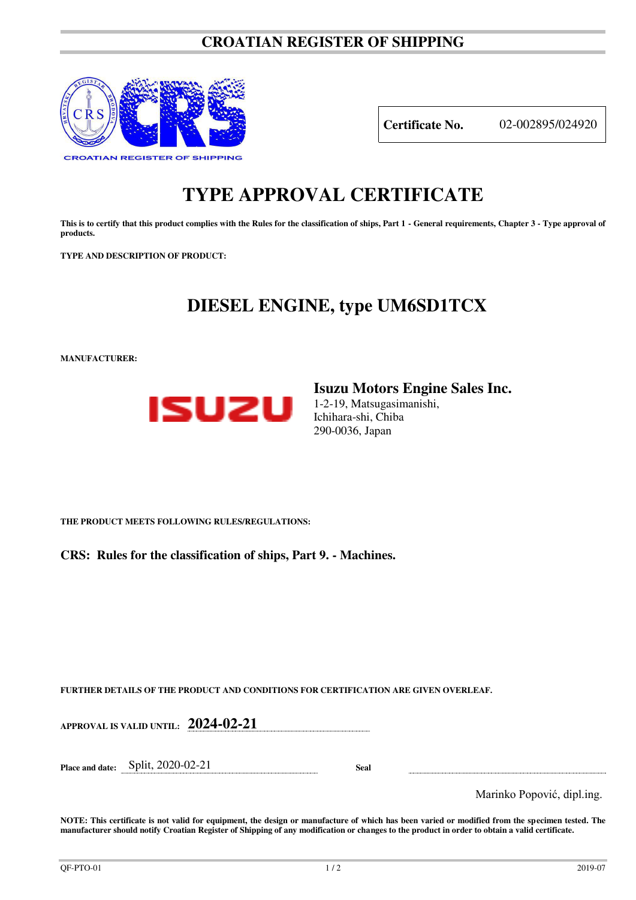### **CROATIAN REGISTER OF SHIPPING**



**Certificate No.** 02-002895/024920

# **TYPE APPROVAL CERTIFICATE**

This is to certify that this product complies with the Rules for the classification of ships, Part 1 - General requirements, Chapter 3 - Type approval of **products.** 

**TYPE AND DESCRIPTION OF PRODUCT:** 

## **DIESEL ENGINE, type UM6SD1TCX**

**MANUFACTURER:**



**Isuzu Motors Engine Sales Inc.**  1-2-19, Matsugasimanishi,

Ichihara-shi, Chiba 290-0036, Japan

**THE PRODUCT MEETS FOLLOWING RULES/REGULATIONS:**

**CRS: Rules for the classification of ships, Part 9. - Machines.**

**FURTHER DETAILS OF THE PRODUCT AND CONDITIONS FOR CERTIFICATION ARE GIVEN OVERLEAF.**

**APPROVAL IS VALID UNTIL: 2024-02-21** 

**Place and date:** Split, 2020-02-21 **Seal** 

Marinko Popović, dipl.ing.

**NOTE: This certificate is not valid for equipment, the design or manufacture of which has been varied or modified from the specimen tested. The manufacturer should notify Croatian Register of Shipping of any modification or changes to the product in order to obtain a valid certificate.**